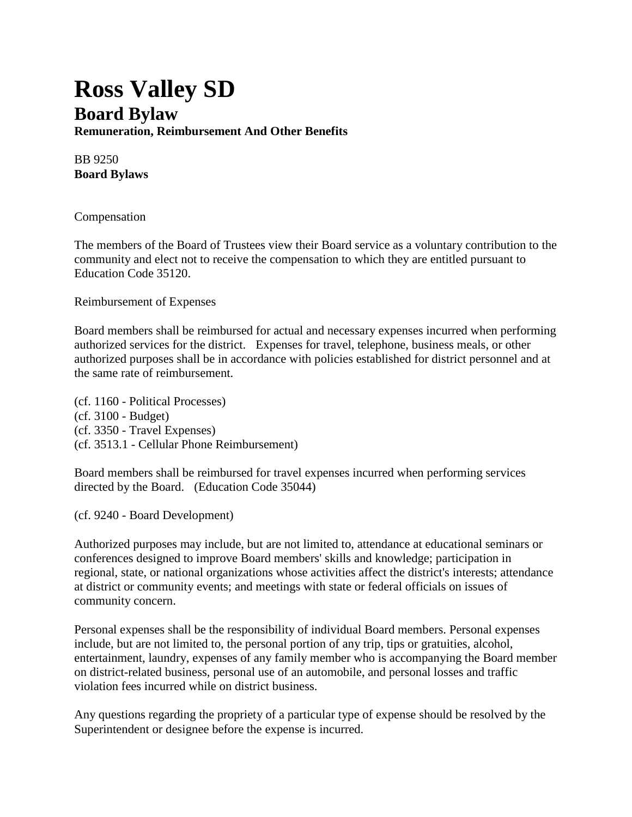## **Ross Valley SD Board Bylaw Remuneration, Reimbursement And Other Benefits**

BB 9250 **Board Bylaws**

Compensation

The members of the Board of Trustees view their Board service as a voluntary contribution to the community and elect not to receive the compensation to which they are entitled pursuant to Education Code 35120.

Reimbursement of Expenses

Board members shall be reimbursed for actual and necessary expenses incurred when performing authorized services for the district. Expenses for travel, telephone, business meals, or other authorized purposes shall be in accordance with policies established for district personnel and at the same rate of reimbursement.

(cf. 1160 - Political Processes) (cf. 3100 - Budget) (cf. 3350 - Travel Expenses) (cf. 3513.1 - Cellular Phone Reimbursement)

Board members shall be reimbursed for travel expenses incurred when performing services directed by the Board. (Education Code 35044)

(cf. 9240 - Board Development)

Authorized purposes may include, but are not limited to, attendance at educational seminars or conferences designed to improve Board members' skills and knowledge; participation in regional, state, or national organizations whose activities affect the district's interests; attendance at district or community events; and meetings with state or federal officials on issues of community concern.

Personal expenses shall be the responsibility of individual Board members. Personal expenses include, but are not limited to, the personal portion of any trip, tips or gratuities, alcohol, entertainment, laundry, expenses of any family member who is accompanying the Board member on district-related business, personal use of an automobile, and personal losses and traffic violation fees incurred while on district business.

Any questions regarding the propriety of a particular type of expense should be resolved by the Superintendent or designee before the expense is incurred.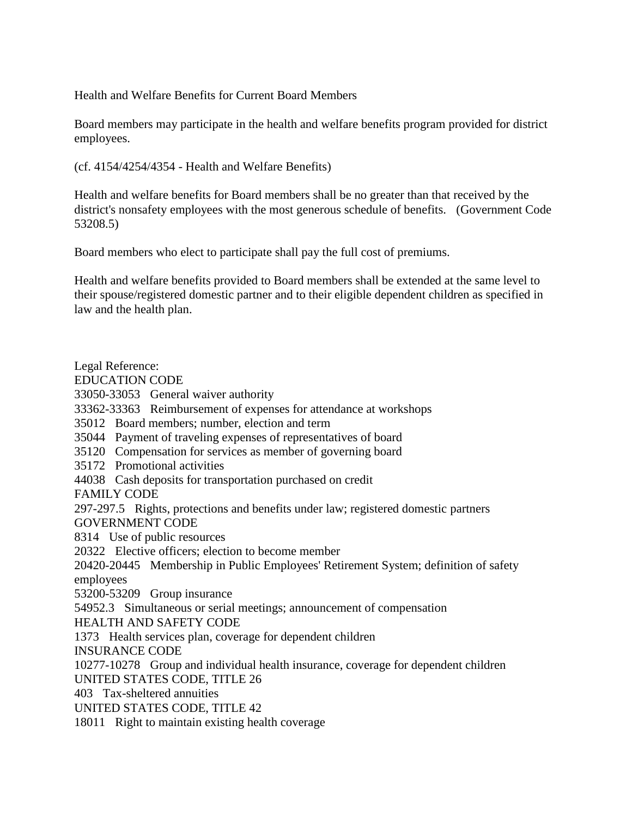Health and Welfare Benefits for Current Board Members

Board members may participate in the health and welfare benefits program provided for district employees.

(cf. 4154/4254/4354 - Health and Welfare Benefits)

Health and welfare benefits for Board members shall be no greater than that received by the district's nonsafety employees with the most generous schedule of benefits. (Government Code 53208.5)

Board members who elect to participate shall pay the full cost of premiums.

Health and welfare benefits provided to Board members shall be extended at the same level to their spouse/registered domestic partner and to their eligible dependent children as specified in law and the health plan.

Legal Reference: EDUCATION CODE 33050-33053 General waiver authority 33362-33363 Reimbursement of expenses for attendance at workshops 35012 Board members; number, election and term 35044 Payment of traveling expenses of representatives of board 35120 Compensation for services as member of governing board 35172 Promotional activities 44038 Cash deposits for transportation purchased on credit FAMILY CODE 297-297.5 Rights, protections and benefits under law; registered domestic partners GOVERNMENT CODE 8314 Use of public resources 20322 Elective officers; election to become member 20420-20445 Membership in Public Employees' Retirement System; definition of safety employees 53200-53209 Group insurance 54952.3 Simultaneous or serial meetings; announcement of compensation HEALTH AND SAFETY CODE 1373 Health services plan, coverage for dependent children INSURANCE CODE 10277-10278 Group and individual health insurance, coverage for dependent children UNITED STATES CODE, TITLE 26 403 Tax-sheltered annuities UNITED STATES CODE, TITLE 42 18011 Right to maintain existing health coverage